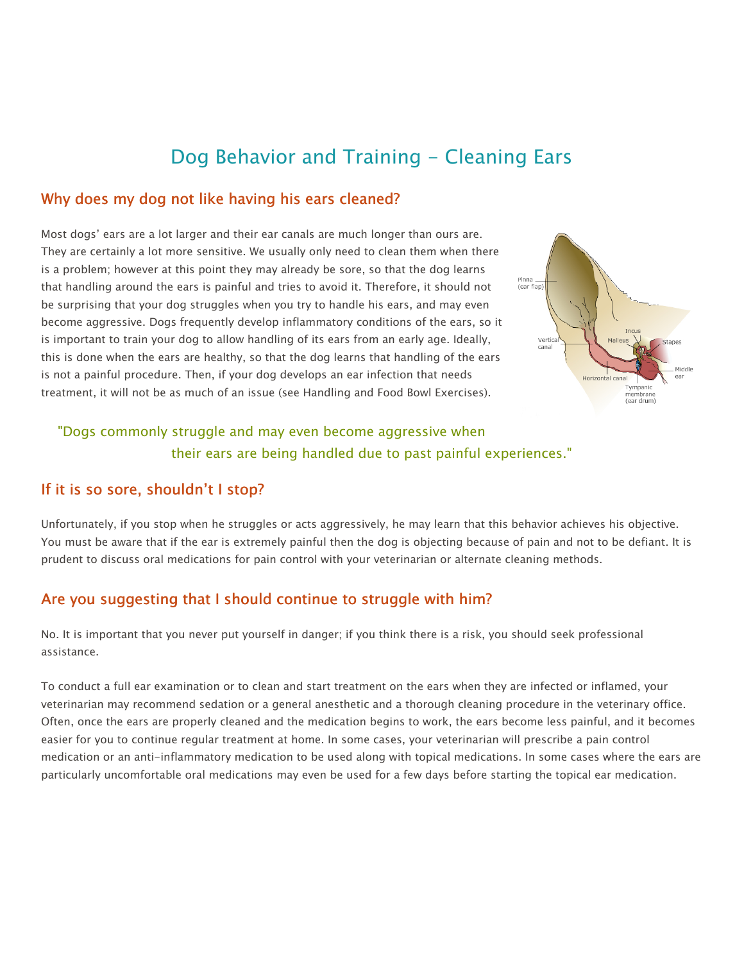# Dog Behavior and Training - Cleaning Ears

#### Why does my dog not like having his ears cleaned?

Most dogs' ears are a lot larger and their ear canals are much longer than ours are. They are certainly a lot more sensitive. We usually only need to clean them when there is a problem; however at this point they may already be sore, so that the dog learns that handling around the ears is painful and tries to avoid it. Therefore, it should not be surprising that your dog struggles when you try to handle his ears, and may even become aggressive. Dogs frequently develop inflammatory conditions of the ears, so it is important to train your dog to allow handling of its ears from an early age. Ideally, this is done when the ears are healthy, so that the dog learns that handling of the ears is not a painful procedure. Then, if your dog develops an ear infection that needs treatment, it will not be as much of an issue (see Handling and Food Bowl Exercises).



## "Dogs commonly struggle and may even become aggressive when their ears are being handled due to past painful experiences."

#### If it is so sore, shouldn't I stop?

Unfortunately, if you stop when he struggles or acts aggressively, he may learn that this behavior achieves his objective. You must be aware that if the ear is extremely painful then the dog is objecting because of pain and not to be defiant. It is prudent to discuss oral medications for pain control with your veterinarian or alternate cleaning methods.

### Are you suggesting that I should continue to struggle with him?

No. It is important that you never put yourself in danger; if you think there is a risk, you should seek professional assistance.

To conduct a full ear examination or to clean and start treatment on the ears when they are infected or inflamed, your veterinarian may recommend sedation or a general anesthetic and a thorough cleaning procedure in the veterinary office. Often, once the ears are properly cleaned and the medication begins to work, the ears become less painful, and it becomes easier for you to continue regular treatment at home. In some cases, your veterinarian will prescribe a pain control medication or an anti-inflammatory medication to be used along with topical medications. In some cases where the ears are particularly uncomfortable oral medications may even be used for a few days before starting the topical ear medication.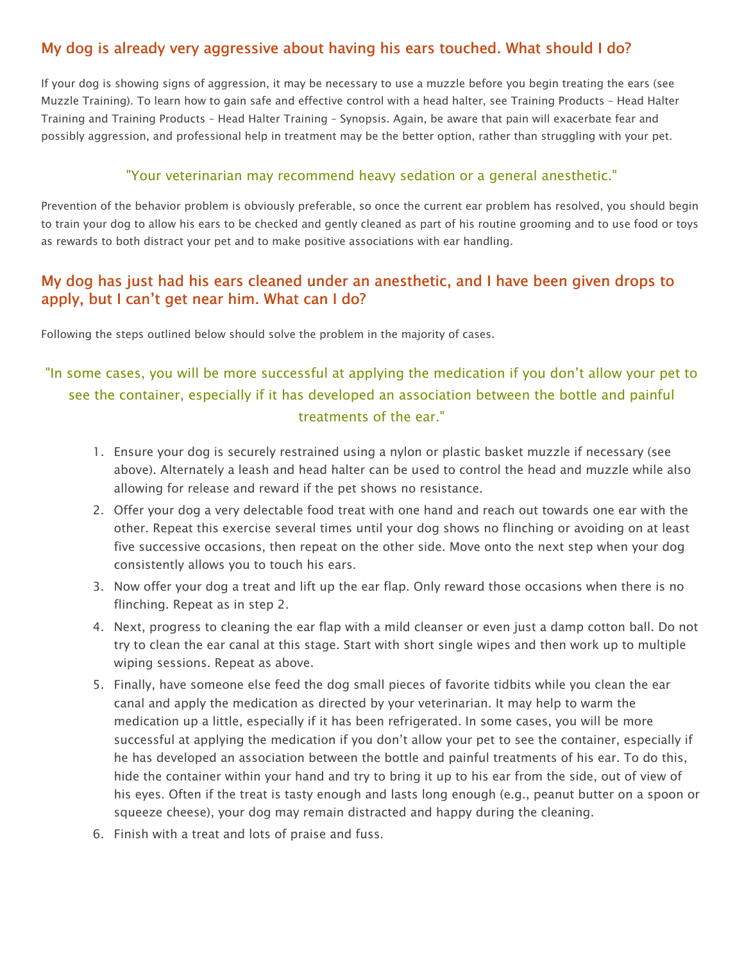## My dog is already very aggressive about having his ears touched. What should I do?

If your dog is showing signs of aggression, it may be necessary to use a muzzle before you begin treating the ears (see Muzzle Training). To learn how to gain safe and effective control with a head halter, see Training Products – Head Halter Training and Training Products – Head Halter Training – Synopsis. Again, be aware that pain will exacerbate fear and possibly aggression, and professional help in treatment may be the better option, rather than struggling with your pet.

#### "Your veterinarian may recommend heavy sedation or a general anesthetic."

Prevention of the behavior problem is obviously preferable, so once the current ear problem has resolved, you should begin to train your dog to allow his ears to be checked and gently cleaned as part of his routine grooming and to use food or toys as rewards to both distract your pet and to make positive associations with ear handling.

### My dog has just had his ears cleaned under an anesthetic, and I have been given drops to apply, but I can't get near him. What can I do?

Following the steps outlined below should solve the problem in the majority of cases.

## "In some cases, you will be more successful at applying the medication if you don't allow your pet to see the container, especially if it has developed an association between the bottle and painful treatments of the ear."

- 1. Ensure your dog is securely restrained using a nylon or plastic basket muzzle if necessary (see above). Alternately a leash and head halter can be used to control the head and muzzle while also allowing for release and reward if the pet shows no resistance.
- 2. Offer your dog a very delectable food treat with one hand and reach out towards one ear with the other. Repeat this exercise several times until your dog shows no flinching or avoiding on at least five successive occasions, then repeat on the other side. Move onto the next step when your dog consistently allows you to touch his ears.
- 3. Now offer your dog a treat and lift up the ear flap. Only reward those occasions when there is no flinching. Repeat as in step 2.
- 4. Next, progress to cleaning the ear flap with a mild cleanser or even just a damp cotton ball. Do not try to clean the ear canal at this stage. Start with short single wipes and then work up to multiple wiping sessions. Repeat as above.
- 5. Finally, have someone else feed the dog small pieces of favorite tidbits while you clean the ear canal and apply the medication as directed by your veterinarian. It may help to warm the medication up a little, especially if it has been refrigerated. In some cases, you will be more successful at applying the medication if you don't allow your pet to see the container, especially if he has developed an association between the bottle and painful treatments of his ear. To do this, hide the container within your hand and try to bring it up to his ear from the side, out of view of his eyes. Often if the treat is tasty enough and lasts long enough (e.g., peanut butter on a spoon or squeeze cheese), your dog may remain distracted and happy during the cleaning.
- 6. Finish with a treat and lots of praise and fuss.